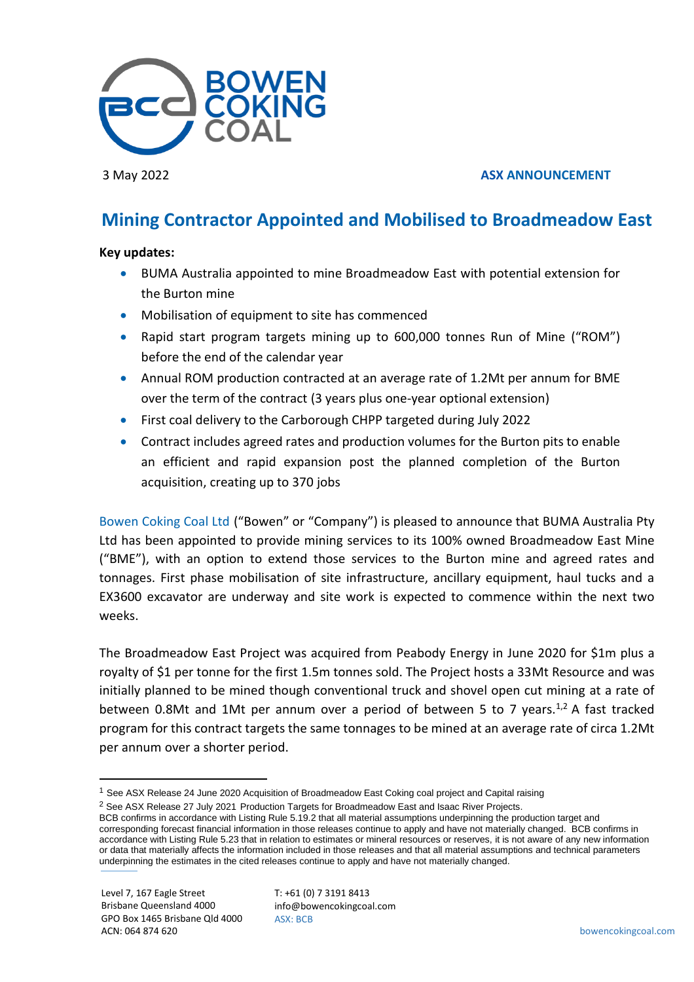

# 3 May 2022 **ASX ANNOUNCEMENT**

# **Mining Contractor Appointed and Mobilised to Broadmeadow East**

## **Key updates:**

- BUMA Australia appointed to mine Broadmeadow East with potential extension for the Burton mine
- Mobilisation of equipment to site has commenced
- Rapid start program targets mining up to 600,000 tonnes Run of Mine ("ROM") before the end of the calendar year
- Annual ROM production contracted at an average rate of 1.2Mt per annum for BME over the term of the contract (3 years plus one-year optional extension)
- First coal delivery to the Carborough CHPP targeted during July 2022
- Contract includes agreed rates and production volumes for the Burton pits to enable an efficient and rapid expansion post the planned completion of the Burton acquisition, creating up to 370 jobs

Bowen Coking Coal Ltd ("Bowen" or "Company") is pleased to announce that BUMA Australia Pty Ltd has been appointed to provide mining services to its 100% owned Broadmeadow East Mine ("BME"), with an option to extend those services to the Burton mine and agreed rates and tonnages. First phase mobilisation of site infrastructure, ancillary equipment, haul tucks and a EX3600 excavator are underway and site work is expected to commence within the next two weeks.

The Broadmeadow East Project was acquired from Peabody Energy in June 2020 for \$1m plus a royalty of \$1 per tonne for the first 1.5m tonnes sold. The Project hosts a 33Mt Resource and was initially planned to be mined though conventional truck and shovel open cut mining at a rate of between 0.8Mt and 1Mt per annum over a period of between 5 to 7 years.<sup>1,2</sup> A fast tracked program for this contract targets the same tonnages to be mined at an average rate of circa 1.2Mt per annum over a shorter period.

BCB confirms in accordance with Listing Rule 5.19.2 that all material assumptions underpinning the production target and

corresponding forecast financial information in those releases continue to apply and have not materially changed. BCB confirms in accordance with Listing Rule 5.23 that in relation to estimates or mineral resources or reserves, it is not aware of any new information or data that materially affects the information included in those releases and that all material assumptions and technical parameters underpinning the estimates in the cited releases continue to apply and have not materially changed.

<sup>&</sup>lt;sup>1</sup> See ASX Release 24 June 2020 Acquisition of Broadmeadow East Coking coal project and Capital raising

<sup>&</sup>lt;sup>2</sup> See ASX Release 27 July 2021 Production Targets for Broadmeadow East and Isaac River Projects.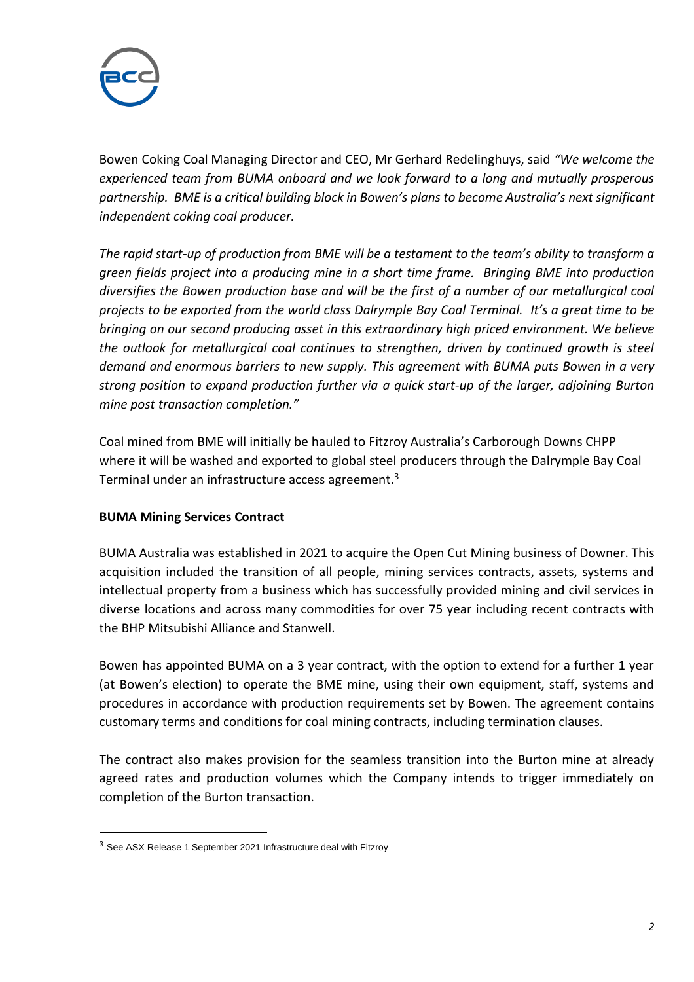

Bowen Coking Coal Managing Director and CEO, Mr Gerhard Redelinghuys, said *"We welcome the experienced team from BUMA onboard and we look forward to a long and mutually prosperous partnership. BME is a critical building block in Bowen's plans to become Australia's next significant independent coking coal producer.*

*The rapid start-up of production from BME will be a testament to the team's ability to transform a green fields project into a producing mine in a short time frame. Bringing BME into production diversifies the Bowen production base and will be the first of a number of our metallurgical coal projects to be exported from the world class Dalrymple Bay Coal Terminal. It's a great time to be bringing on our second producing asset in this extraordinary high priced environment. We believe the outlook for metallurgical coal continues to strengthen, driven by continued growth is steel demand and enormous barriers to new supply. This agreement with BUMA puts Bowen in a very strong position to expand production further via a quick start-up of the larger, adjoining Burton mine post transaction completion."*

Coal mined from BME will initially be hauled to Fitzroy Australia's Carborough Downs CHPP where it will be washed and exported to global steel producers through the Dalrymple Bay Coal Terminal under an infrastructure access agreement.<sup>3</sup>

# **BUMA Mining Services Contract**

BUMA Australia was established in 2021 to acquire the Open Cut Mining business of Downer. This acquisition included the transition of all people, mining services contracts, assets, systems and intellectual property from a business which has successfully provided mining and civil services in diverse locations and across many commodities for over 75 year including recent contracts with the BHP Mitsubishi Alliance and Stanwell.

Bowen has appointed BUMA on a 3 year contract, with the option to extend for a further 1 year (at Bowen's election) to operate the BME mine, using their own equipment, staff, systems and procedures in accordance with production requirements set by Bowen. The agreement contains customary terms and conditions for coal mining contracts, including termination clauses.

The contract also makes provision for the seamless transition into the Burton mine at already agreed rates and production volumes which the Company intends to trigger immediately on completion of the Burton transaction.

<sup>3</sup> See ASX Release 1 September 2021 Infrastructure deal with Fitzroy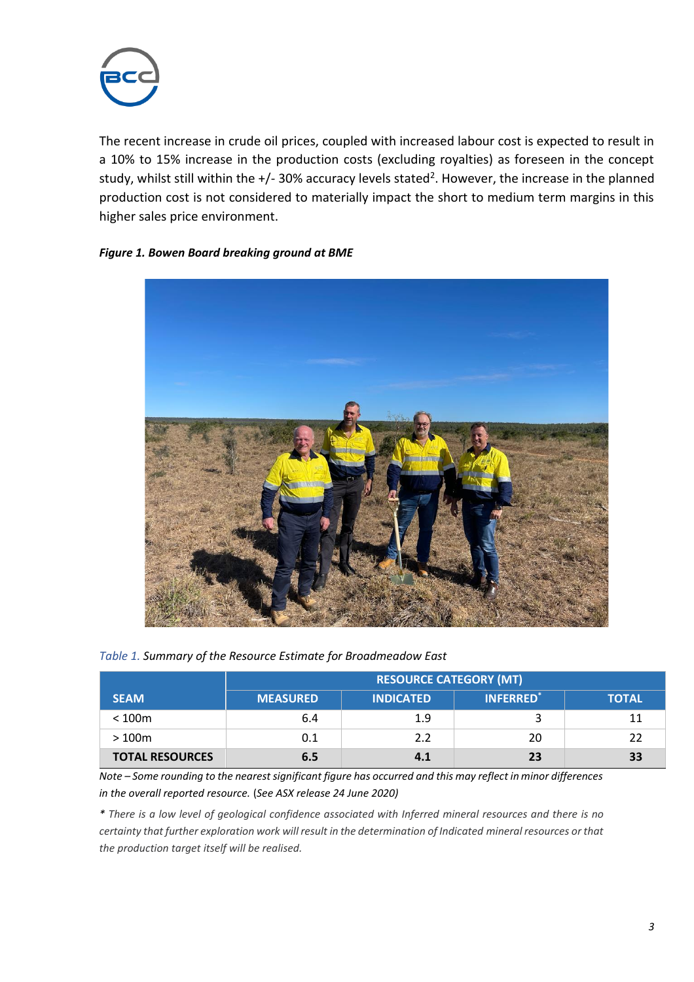

The recent increase in crude oil prices, coupled with increased labour cost is expected to result in a 10% to 15% increase in the production costs (excluding royalties) as foreseen in the concept study, whilst still within the +/- 30% accuracy levels stated<sup>2</sup>. However, the increase in the planned production cost is not considered to materially impact the short to medium term margins in this higher sales price environment.

## *Figure 1. Bowen Board breaking ground at BME*



## *Table 1. Summary of the Resource Estimate for Broadmeadow East*

|                        | <b>RESOURCE CATEGORY (MT)</b> |                  |                 |              |
|------------------------|-------------------------------|------------------|-----------------|--------------|
| <b>SEAM</b>            | <b>MEASURED</b>               | <b>INDICATED</b> | <b>INFERRED</b> | <b>TOTAL</b> |
| < 100m                 | 6.4                           | 1.9              |                 |              |
| >100m                  | 0.1                           | 2.2              | 20              |              |
| <b>TOTAL RESOURCES</b> | 6.5                           | 4.1              | 23              | 33           |

*Note – Some rounding to the nearest significant figure has occurred and this may reflect in minor differences in the overall reported resource.* (*See ASX release 24 June 2020)*

\* There is a low level of geological confidence associated with Inferred mineral resources and there is no *certainty that further exploration work will result in the determination of Indicated mineral resources or that the production target itself will be realised.*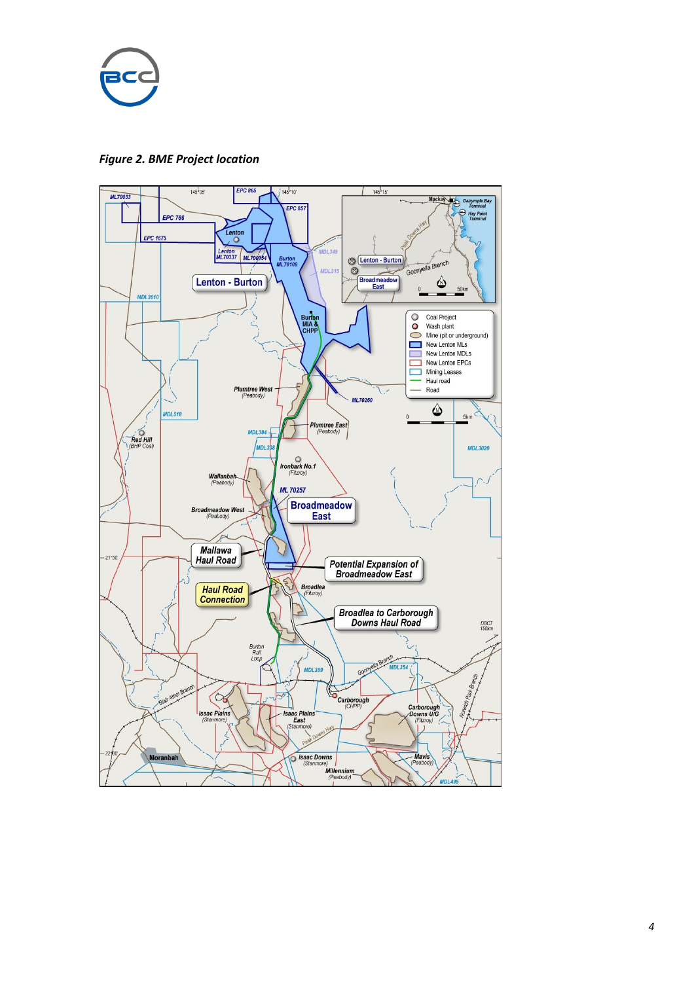*Figure 2. BME Project location*

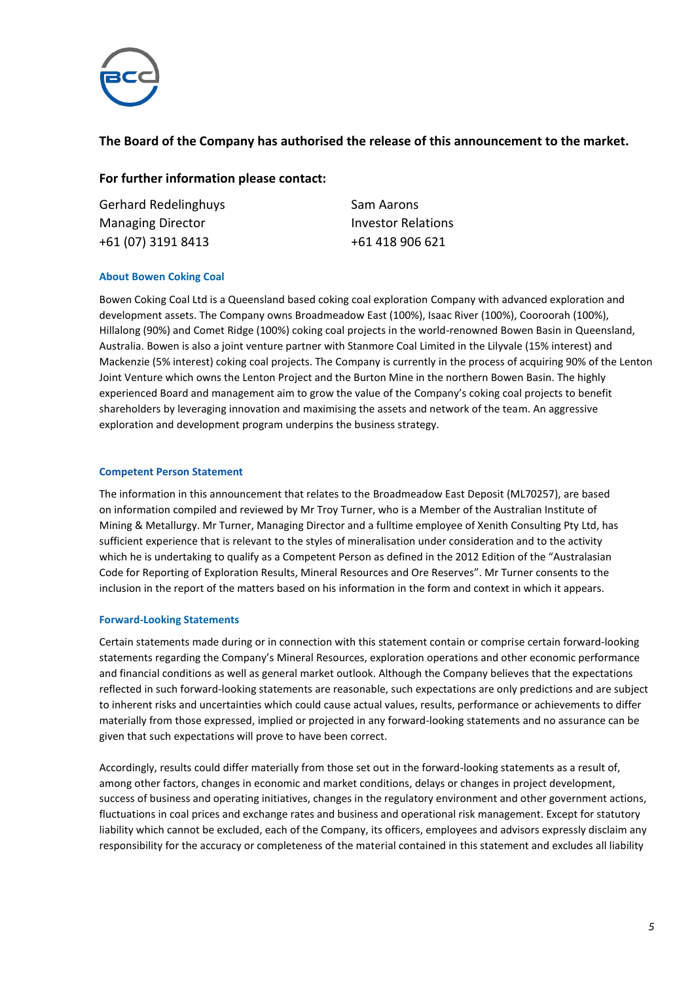

# **The Board of the Company has authorised the release of this announcement to the market.**

## **For further information please contact:**

Gerhard Redelinghuys **Sam Aarons** Managing Director **Investor Relations** +61 (07) 3191 8413 +61 418 906 621

#### **About Bowen Coking Coal**

Bowen Coking Coal Ltd is a Queensland based coking coal exploration Company with advanced exploration and development assets. The Company owns Broadmeadow East (100%), Isaac River (100%), Cooroorah (100%), Hillalong (90%) and Comet Ridge (100%) coking coal projects in the world-renowned Bowen Basin in Queensland, Australia. Bowen is also a joint venture partner with Stanmore Coal Limited in the Lilyvale (15% interest) and Mackenzie (5% interest) coking coal projects. The Company is currently in the process of acquiring 90% of the Lenton Joint Venture which owns the Lenton Project and the Burton Mine in the northern Bowen Basin. The highly experienced Board and management aim to grow the value of the Company's coking coal projects to benefit shareholders by leveraging innovation and maximising the assets and network of the team. An aggressive exploration and development program underpins the business strategy.

#### **Competent Person Statement**

The information in this announcement that relates to the Broadmeadow East Deposit (ML70257), are based on information compiled and reviewed by Mr Troy Turner, who is a Member of the Australian Institute of Mining & Metallurgy. Mr Turner, Managing Director and a fulltime employee of Xenith Consulting Pty Ltd, has sufficient experience that is relevant to the styles of mineralisation under consideration and to the activity which he is undertaking to qualify as a Competent Person as defined in the 2012 Edition of the "Australasian Code for Reporting of Exploration Results, Mineral Resources and Ore Reserves". Mr Turner consents to the inclusion in the report of the matters based on his information in the form and context in which it appears.

#### **Forward-Looking Statements**

Certain statements made during or in connection with this statement contain or comprise certain forward-looking statements regarding the Company's Mineral Resources, exploration operations and other economic performance and financial conditions as well as general market outlook. Although the Company believes that the expectations reflected in such forward-looking statements are reasonable, such expectations are only predictions and are subject to inherent risks and uncertainties which could cause actual values, results, performance or achievements to differ materially from those expressed, implied or projected in any forward-looking statements and no assurance can be given that such expectations will prove to have been correct.

Accordingly, results could differ materially from those set out in the forward-looking statements as a result of, among other factors, changes in economic and market conditions, delays or changes in project development, success of business and operating initiatives, changes in the regulatory environment and other government actions, fluctuations in coal prices and exchange rates and business and operational risk management. Except for statutory liability which cannot be excluded, each of the Company, its officers, employees and advisors expressly disclaim any responsibility for the accuracy or completeness of the material contained in this statement and excludes all liability